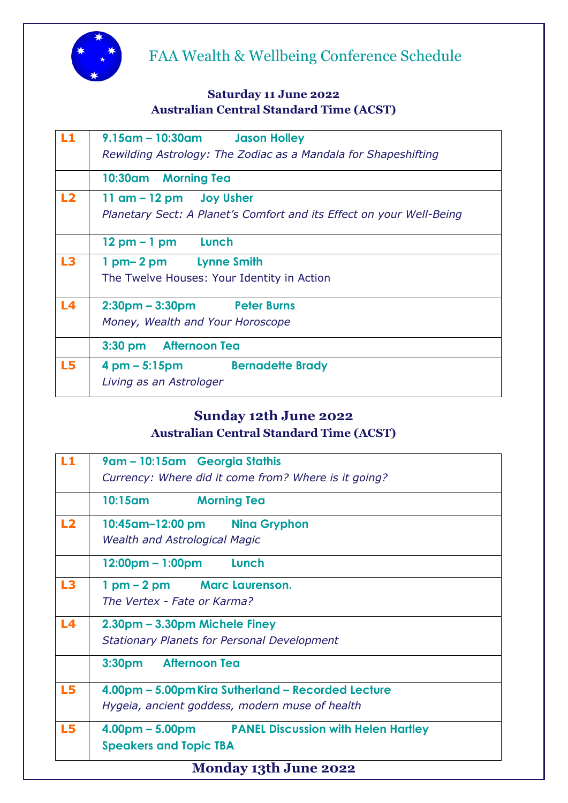

# FAA Wealth & Wellbeing Conference Schedule

#### **Saturday 11 June 2022 Australian Central Standard Time (ACST)**

| L1             | 9.15am - 10:30am Jason Holley                                        |  |  |  |
|----------------|----------------------------------------------------------------------|--|--|--|
|                | Rewilding Astrology: The Zodiac as a Mandala for Shapeshifting       |  |  |  |
|                | 10:30am Morning Tea                                                  |  |  |  |
| L2             | $11$ am $-12$ pm Joy Usher                                           |  |  |  |
|                | Planetary Sect: A Planet's Comfort and its Effect on your Well-Being |  |  |  |
|                | $12 \text{ pm} - 1 \text{ pm}$ Lunch                                 |  |  |  |
| L3             | 1 pm-2 pm Lynne Smith                                                |  |  |  |
|                | The Twelve Houses: Your Identity in Action                           |  |  |  |
| L <sub>4</sub> | 2:30pm - 3:30pm Peter Burns                                          |  |  |  |
|                | Money, Wealth and Your Horoscope                                     |  |  |  |
|                | 3:30 pm Afternoon Tea                                                |  |  |  |
| L5             | 4 pm – 5:15pm Bernadette Brady                                       |  |  |  |
|                | Living as an Astrologer                                              |  |  |  |

### **Sunday 12th June 2022 Australian Central Standard Time (ACST)**

| L1                           | 9am - 10:15am Georgia Stathis                         |  |  |  |
|------------------------------|-------------------------------------------------------|--|--|--|
|                              | Currency: Where did it come from? Where is it going?  |  |  |  |
|                              | <b>Morning Tea</b><br>10:15am                         |  |  |  |
| L2                           | 10:45am-12:00 pm Nina Gryphon                         |  |  |  |
|                              | <b>Wealth and Astrological Magic</b>                  |  |  |  |
|                              | $12:00 \text{pm} - 1:00 \text{pm}$ Lunch              |  |  |  |
| L3                           | 1 pm - 2 pm Marc Laurenson.                           |  |  |  |
|                              | The Vertex - Fate or Karma?                           |  |  |  |
| L4                           | 2.30pm – 3.30pm Michele Finey                         |  |  |  |
|                              | <b>Stationary Planets for Personal Development</b>    |  |  |  |
|                              | <b>Afternoon Tea</b><br>3:30 <sub>pm</sub>            |  |  |  |
| L5                           | 4.00pm - 5.00pm Kira Sutherland - Recorded Lecture    |  |  |  |
|                              | Hygeia, ancient goddess, modern muse of health        |  |  |  |
| L5                           | 4.00pm – 5.00pm – PANEL Discussion with Helen Hartley |  |  |  |
|                              | <b>Speakers and Topic TBA</b>                         |  |  |  |
| <b>Monday 13th June 2022</b> |                                                       |  |  |  |